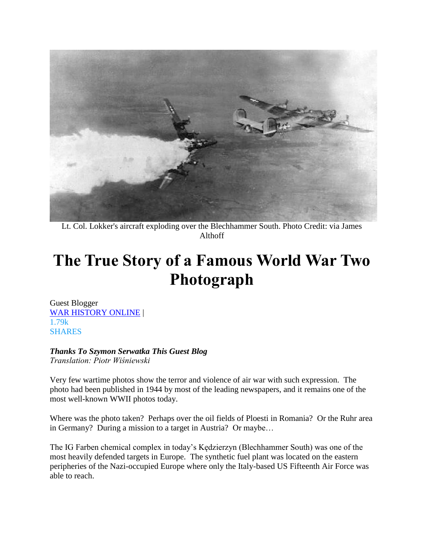

Lt. Col. Lokker's aircraft exploding over the Blechhammer South. Photo Credit: via James Althoff

## **The True Story of a Famous World War Two Photograph**

Guest Blogger [WAR HISTORY ONLINE](https://www.warhistoryonline.com/guest-bloggers/true-story-behind-famous-photograph.html) | 1.79k **SHARES** 

## *Thanks To Szymon Serwatka This Guest Blog*

*Translation: Piotr Wiśniewski*

Very few wartime photos show the terror and violence of air war with such expression. The photo had been published in 1944 by most of the leading newspapers, and it remains one of the most well-known WWII photos today.

Where was the photo taken? Perhaps over the oil fields of Ploesti in Romania? Or the Ruhr area in Germany? During a mission to a target in Austria? Or maybe…

The IG Farben chemical complex in today's Kędzierzyn (Blechhammer South) was one of the most heavily defended targets in Europe. The synthetic fuel plant was located on the eastern peripheries of the Nazi-occupied Europe where only the Italy-based US Fifteenth Air Force was able to reach.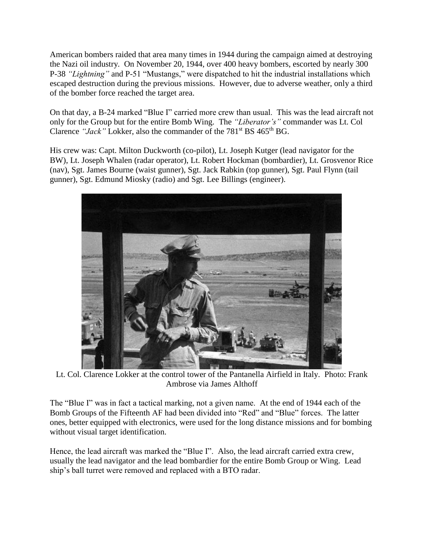American bombers raided that area many times in 1944 during the campaign aimed at destroying the Nazi oil industry. On November 20, 1944, over 400 heavy bombers, escorted by nearly 300 P-38 *"Lightning"* and P-51 "Mustangs," were dispatched to hit the industrial installations which escaped destruction during the previous missions. However, due to adverse weather, only a third of the bomber force reached the target area.

On that day, a B-24 marked "Blue I" carried more crew than usual. This was the lead aircraft not only for the Group but for the entire Bomb Wing. The *"Liberator's"* commander was Lt. Col Clarence *"Jack"* Lokker, also the commander of the 781<sup>st</sup> BS 465<sup>th</sup> BG.

His crew was: Capt. Milton Duckworth (co-pilot), Lt. Joseph Kutger (lead navigator for the BW), Lt. Joseph Whalen (radar operator), Lt. Robert Hockman (bombardier), Lt. Grosvenor Rice (nav), Sgt. James Bourne (waist gunner), Sgt. Jack Rabkin (top gunner), Sgt. Paul Flynn (tail gunner), Sgt. Edmund Miosky (radio) and Sgt. Lee Billings (engineer).



Lt. Col. Clarence Lokker at the control tower of the Pantanella Airfield in Italy. Photo: Frank Ambrose via James Althoff

The "Blue I" was in fact a tactical marking, not a given name. At the end of 1944 each of the Bomb Groups of the Fifteenth AF had been divided into "Red" and "Blue" forces. The latter ones, better equipped with electronics, were used for the long distance missions and for bombing without visual target identification.

Hence, the lead aircraft was marked the "Blue I". Also, the lead aircraft carried extra crew, usually the lead navigator and the lead bombardier for the entire Bomb Group or Wing. Lead ship's ball turret were removed and replaced with a BTO radar.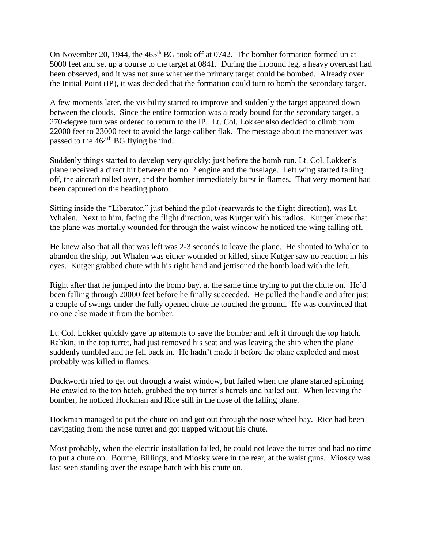On November 20, 1944, the 465<sup>th</sup> BG took off at 0742. The bomber formation formed up at 5000 feet and set up a course to the target at 0841. During the inbound leg, a heavy overcast had been observed, and it was not sure whether the primary target could be bombed. Already over the Initial Point (IP), it was decided that the formation could turn to bomb the secondary target.

A few moments later, the visibility started to improve and suddenly the target appeared down between the clouds. Since the entire formation was already bound for the secondary target, a 270-degree turn was ordered to return to the IP. Lt. Col. Lokker also decided to climb from 22000 feet to 23000 feet to avoid the large caliber flak. The message about the maneuver was passed to the 464<sup>th</sup> BG flying behind.

Suddenly things started to develop very quickly: just before the bomb run, Lt. Col. Lokker's plane received a direct hit between the no. 2 engine and the fuselage. Left wing started falling off, the aircraft rolled over, and the bomber immediately burst in flames. That very moment had been captured on the heading photo.

Sitting inside the "Liberator," just behind the pilot (rearwards to the flight direction), was Lt. Whalen. Next to him, facing the flight direction, was Kutger with his radios. Kutger knew that the plane was mortally wounded for through the waist window he noticed the wing falling off.

He knew also that all that was left was 2-3 seconds to leave the plane. He shouted to Whalen to abandon the ship, but Whalen was either wounded or killed, since Kutger saw no reaction in his eyes. Kutger grabbed chute with his right hand and jettisoned the bomb load with the left.

Right after that he jumped into the bomb bay, at the same time trying to put the chute on. He'd been falling through 20000 feet before he finally succeeded. He pulled the handle and after just a couple of swings under the fully opened chute he touched the ground. He was convinced that no one else made it from the bomber.

Lt. Col. Lokker quickly gave up attempts to save the bomber and left it through the top hatch. Rabkin, in the top turret, had just removed his seat and was leaving the ship when the plane suddenly tumbled and he fell back in. He hadn't made it before the plane exploded and most probably was killed in flames.

Duckworth tried to get out through a waist window, but failed when the plane started spinning. He crawled to the top hatch, grabbed the top turret's barrels and bailed out. When leaving the bomber, he noticed Hockman and Rice still in the nose of the falling plane.

Hockman managed to put the chute on and got out through the nose wheel bay. Rice had been navigating from the nose turret and got trapped without his chute.

Most probably, when the electric installation failed, he could not leave the turret and had no time to put a chute on. Bourne, Billings, and Miosky were in the rear, at the waist guns. Miosky was last seen standing over the escape hatch with his chute on.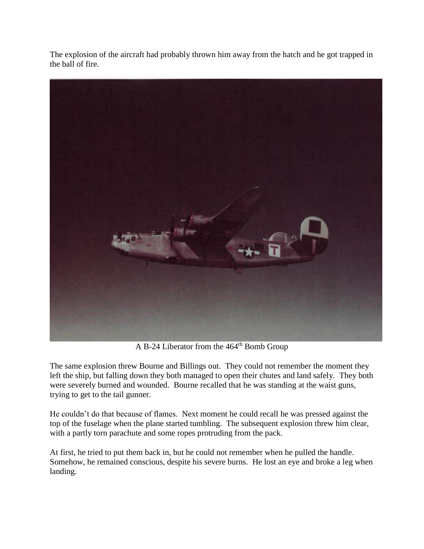The explosion of the aircraft had probably thrown him away from the hatch and he got trapped in the ball of fire.



A B-24 Liberator from the 464<sup>th</sup> Bomb Group

The same explosion threw Bourne and Billings out. They could not remember the moment they left the ship, but falling down they both managed to open their chutes and land safely. They both were severely burned and wounded. Bourne recalled that he was standing at the waist guns, trying to get to the tail gunner.

He couldn't do that because of flames. Next moment he could recall he was pressed against the top of the fuselage when the plane started tumbling. The subsequent explosion threw him clear, with a partly torn parachute and some ropes protruding from the pack.

At first, he tried to put them back in, but he could not remember when he pulled the handle. Somehow, he remained conscious, despite his severe burns. He lost an eye and broke a leg when landing.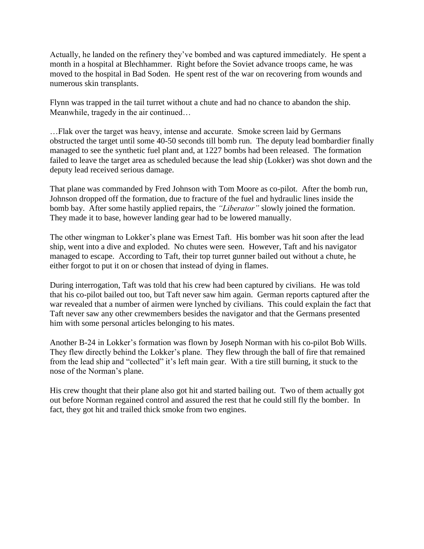Actually, he landed on the refinery they've bombed and was captured immediately. He spent a month in a hospital at Blechhammer. Right before the Soviet advance troops came, he was moved to the hospital in Bad Soden. He spent rest of the war on recovering from wounds and numerous skin transplants.

Flynn was trapped in the tail turret without a chute and had no chance to abandon the ship. Meanwhile, tragedy in the air continued…

…Flak over the target was heavy, intense and accurate. Smoke screen laid by Germans obstructed the target until some 40-50 seconds till bomb run. The deputy lead bombardier finally managed to see the synthetic fuel plant and, at 1227 bombs had been released. The formation failed to leave the target area as scheduled because the lead ship (Lokker) was shot down and the deputy lead received serious damage.

That plane was commanded by Fred Johnson with Tom Moore as co-pilot. After the bomb run, Johnson dropped off the formation, due to fracture of the fuel and hydraulic lines inside the bomb bay. After some hastily applied repairs, the *"Liberator"* slowly joined the formation. They made it to base, however landing gear had to be lowered manually.

The other wingman to Lokker's plane was Ernest Taft. His bomber was hit soon after the lead ship, went into a dive and exploded. No chutes were seen. However, Taft and his navigator managed to escape. According to Taft, their top turret gunner bailed out without a chute, he either forgot to put it on or chosen that instead of dying in flames.

During interrogation, Taft was told that his crew had been captured by civilians. He was told that his co-pilot bailed out too, but Taft never saw him again. German reports captured after the war revealed that a number of airmen were lynched by civilians. This could explain the fact that Taft never saw any other crewmembers besides the navigator and that the Germans presented him with some personal articles belonging to his mates.

Another B-24 in Lokker's formation was flown by Joseph Norman with his co-pilot Bob Wills. They flew directly behind the Lokker's plane. They flew through the ball of fire that remained from the lead ship and "collected" it's left main gear. With a tire still burning, it stuck to the nose of the Norman's plane.

His crew thought that their plane also got hit and started bailing out. Two of them actually got out before Norman regained control and assured the rest that he could still fly the bomber. In fact, they got hit and trailed thick smoke from two engines.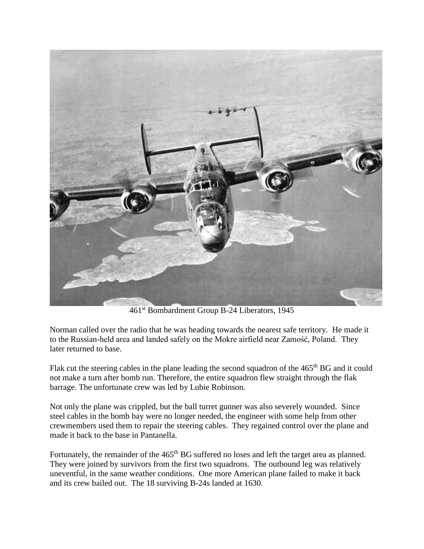

461st Bombardment Group B-24 Liberators, 1945

Norman called over the radio that he was heading towards the nearest safe territory. He made it to the Russian-held area and landed safely on the Mokre airfield near Zamość, Poland. They later returned to base.

Flak cut the steering cables in the plane leading the second squadron of the 465<sup>th</sup> BG and it could not make a turn after bomb run. Therefore, the entire squadron flew straight through the flak barrage. The unfortunate crew was led by Lubie Robinson.

Not only the plane was crippled, but the ball turret gunner was also severely wounded. Since steel cables in the bomb bay were no longer needed, the engineer with some help from other crewmembers used them to repair the steering cables. They regained control over the plane and made it back to the base in Pantanella.

Fortunately, the remainder of the 465<sup>th</sup> BG suffered no loses and left the target area as planned. They were joined by survivors from the first two squadrons. The outbound leg was relatively uneventful, in the same weather conditions. One more American plane failed to make it back and its crew bailed out. The 18 surviving B-24s landed at 1630.